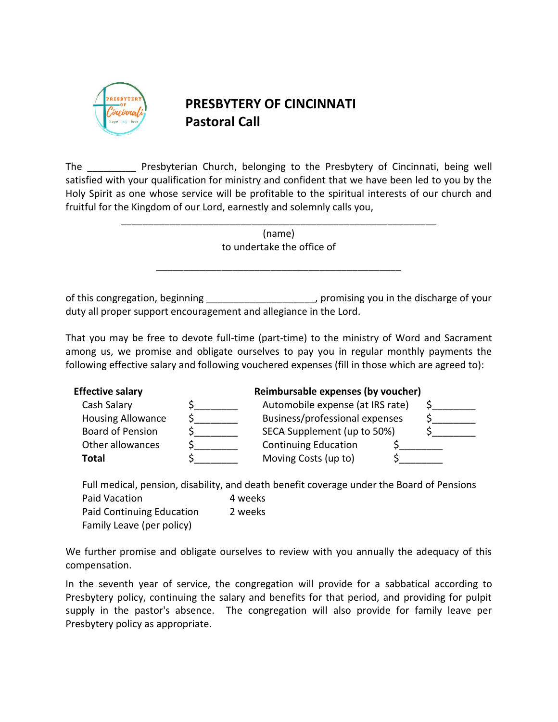

# **PRESBYTERY OF CINCINNATI Pastoral Call**

The **Example 20 Presbyterian Church, belonging to the Presbytery of Cincinnati, being well** satisfied with your qualification for ministry and confident that we have been led to you by the Holy Spirit as one whose service will be profitable to the spiritual interests of our church and fruitful for the Kingdom of our Lord, earnestly and solemnly calls you,

> (name) to undertake the office of

\_\_\_\_\_\_\_\_\_\_\_\_\_\_\_\_\_\_\_\_\_\_\_\_\_\_\_\_\_\_\_\_\_\_\_\_\_\_\_\_\_\_\_\_\_

\_\_\_\_\_\_\_\_\_\_\_\_\_\_\_\_\_\_\_\_\_\_\_\_\_\_\_\_\_\_\_\_\_\_\_\_\_\_\_\_\_\_\_\_\_\_\_\_\_\_\_\_\_\_\_\_\_\_

of this congregation, beginning \_\_\_\_\_\_\_\_\_\_\_\_\_\_\_\_\_\_\_\_, promising you in the discharge of your duty all proper support encouragement and allegiance in the Lord.

That you may be free to devote full-time (part-time) to the ministry of Word and Sacrament among us, we promise and obligate ourselves to pay you in regular monthly payments the following effective salary and following vouchered expenses (fill in those which are agreed to):

| <b>Effective salary</b>  | Reimbursable expenses (by voucher) |  |
|--------------------------|------------------------------------|--|
| Cash Salary              | Automobile expense (at IRS rate)   |  |
| <b>Housing Allowance</b> | Business/professional expenses     |  |
| <b>Board of Pension</b>  | SECA Supplement (up to 50%)        |  |
| Other allowances         | <b>Continuing Education</b>        |  |
| Total                    | Moving Costs (up to)               |  |

Full medical, pension, disability, and death benefit coverage under the Board of Pensions

Paid Vacation 4 weeks Paid Continuing Education 2 weeks Family Leave (per policy)

We further promise and obligate ourselves to review with you annually the adequacy of this compensation.

In the seventh year of service, the congregation will provide for a sabbatical according to Presbytery policy, continuing the salary and benefits for that period, and providing for pulpit supply in the pastor's absence. The congregation will also provide for family leave per Presbytery policy as appropriate.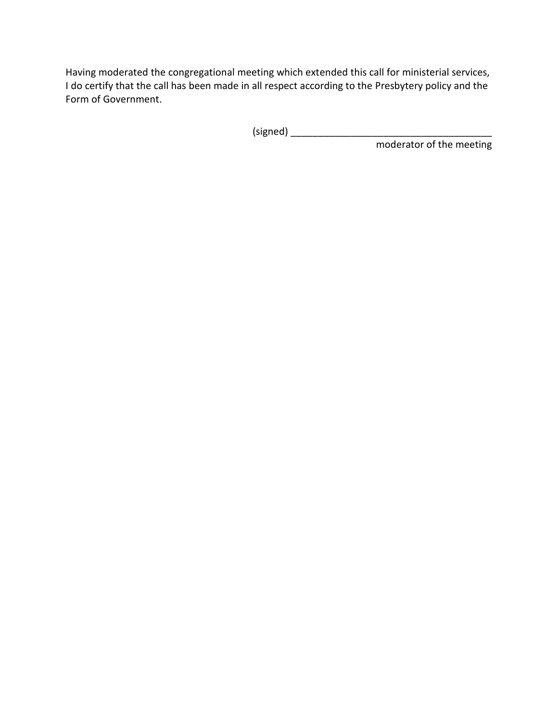Having moderated the congregational meeting which extended this call for ministerial services, I do certify that the call has been made in all respect according to the Presbytery policy and the Form of Government.

(signed) \_\_\_\_\_\_\_\_\_\_\_\_\_\_\_\_\_\_\_\_\_\_\_\_\_\_\_\_\_\_\_\_\_\_\_\_\_

moderator of the meeting